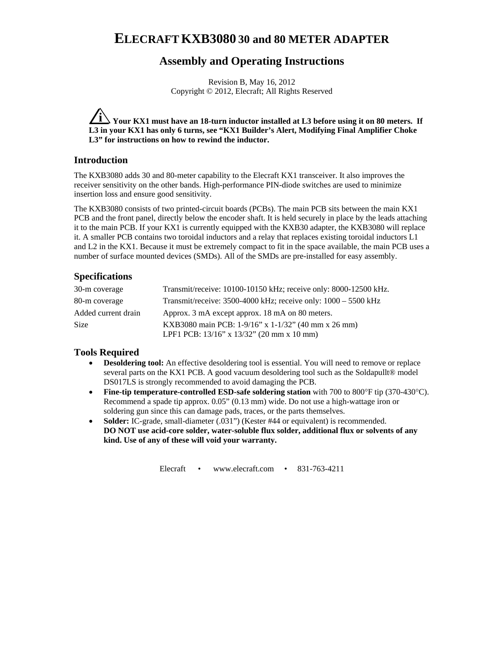# **ELECRAFT KXB3080 30 and 80 METER ADAPTER**

# **Assembly and Operating Instructions**

Revision B, May 16, 2012 Copyright © 2012, Elecraft; All Rights Reserved

**i Your KX1 must have an 18-turn inductor installed at L3 before using it on 80 meters. If L3 in your KX1 has only 6 turns, see "KX1 Builder's Alert, Modifying Final Amplifier Choke L3" for instructions on how to rewind the inductor.** 

#### **Introduction**

The KXB3080 adds 30 and 80-meter capability to the Elecraft KX1 transceiver. It also improves the receiver sensitivity on the other bands. High-performance PIN-diode switches are used to minimize insertion loss and ensure good sensitivity.

The KXB3080 consists of two printed-circuit boards (PCBs). The main PCB sits between the main KX1 PCB and the front panel, directly below the encoder shaft. It is held securely in place by the leads attaching it to the main PCB. If your KX1 is currently equipped with the KXB30 adapter, the KXB3080 will replace it. A smaller PCB contains two toroidal inductors and a relay that replaces existing toroidal inductors L1 and L2 in the KX1. Because it must be extremely compact to fit in the space available, the main PCB uses a number of surface mounted devices (SMDs). All of the SMDs are pre-installed for easy assembly.

## **Specifications**

| 30-m coverage       | Transmit/receive: 10100-10150 kHz; receive only: 8000-12500 kHz. |
|---------------------|------------------------------------------------------------------|
| 80-m coverage       | Transmit/receive: 3500-4000 kHz; receive only: 1000 - 5500 kHz   |
| Added current drain | Approx. 3 mA except approx. 18 mA on 80 meters.                  |
| <b>Size</b>         | KXB3080 main PCB: 1-9/16" x 1-1/32" (40 mm x 26 mm)              |
|                     | LPF1 PCB: 13/16" x 13/32" (20 mm x 10 mm)                        |

#### **Tools Required**

- **Desoldering tool:** An effective desoldering tool is essential. You will need to remove or replace several parts on the KX1 PCB. A good vacuum desoldering tool such as the Soldapullt® model DS017LS is strongly recommended to avoid damaging the PCB.
- Fine-tip temperature-controlled ESD-safe soldering station with 700 to 800°F tip (370-430°C). Recommend a spade tip approx. 0.05" (0.13 mm) wide. Do not use a high-wattage iron or soldering gun since this can damage pads, traces, or the parts themselves.
- **Solder:** IC-grade, small-diameter (.031") (Kester #44 or equivalent) is recommended. **DO NOT use acid-core solder, water-soluble flux solder, additional flux or solvents of any kind. Use of any of these will void your warranty.**

Elecraft • www.elecraft.com • 831-763-4211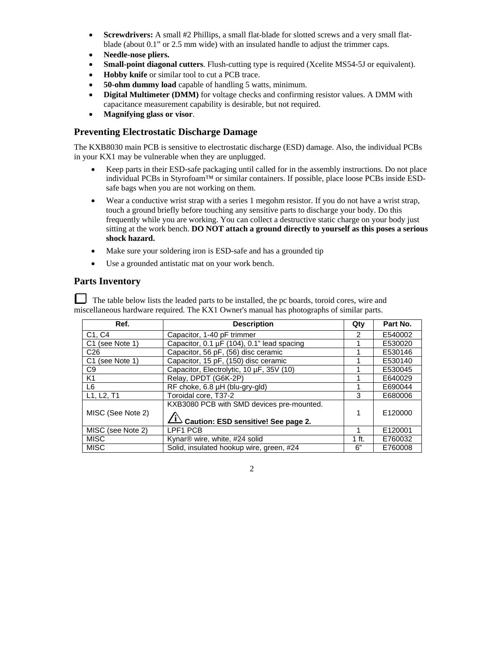- **Screwdrivers:** A small #2 Phillips, a small flat-blade for slotted screws and a very small flatblade (about 0.1" or 2.5 mm wide) with an insulated handle to adjust the trimmer caps.
- **Needle-nose pliers.**
- **Small-point diagonal cutters**. Flush-cutting type is required (Xcelite MS54-5J or equivalent).
- **Hobby knife** or similar tool to cut a PCB trace.
- **50-ohm dummy load** capable of handling 5 watts, minimum.
- **Digital Multimeter (DMM)** for voltage checks and confirming resistor values. A DMM with capacitance measurement capability is desirable, but not required.
- **Magnifying glass or visor**.

#### **Preventing Electrostatic Discharge Damage**

The KXB8030 main PCB is sensitive to electrostatic discharge (ESD) damage. Also, the individual PCBs in your KX1 may be vulnerable when they are unplugged.

- Keep parts in their ESD-safe packaging until called for in the assembly instructions. Do not place individual PCBs in Styrofoam™ or similar containers. If possible, place loose PCBs inside ESDsafe bags when you are not working on them.
- Wear a conductive wrist strap with a series 1 megohm resistor. If you do not have a wrist strap, touch a ground briefly before touching any sensitive parts to discharge your body. Do this frequently while you are working. You can collect a destructive static charge on your body just sitting at the work bench. **DO NOT attach a ground directly to yourself as this poses a serious shock hazard.**
- Make sure your soldering iron is ESD-safe and has a grounded tip
- Use a grounded antistatic mat on your work bench.

## **Parts Inventory**

 The table below lists the leaded parts to be installed, the pc boards, toroid cores, wire and miscellaneous hardware required. The KX1 Owner's manual has photographs of similar parts.

| Ref.                            | <b>Description</b>                                       | Qty     | Part No. |
|---------------------------------|----------------------------------------------------------|---------|----------|
| C <sub>1</sub> , C <sub>4</sub> | Capacitor, 1-40 pF trimmer                               | 2       | E540002  |
| C <sub>1</sub> (see Note 1)     | Capacitor, 0.1 µF (104), 0.1" lead spacing               |         | E530020  |
| C <sub>26</sub>                 | Capacitor, 56 pF, (56) disc ceramic                      |         | E530146  |
| C <sub>1</sub> (see Note 1)     | Capacitor, 15 pF, (150) disc ceramic                     |         | E530140  |
| C9                              | Capacitor, Electrolytic, 10 µF, 35V (10)                 |         | E530045  |
| K <sub>1</sub>                  | Relay, DPDT (G6K-2P)                                     |         | E640029  |
| L6                              | RF choke, 6.8 µH (blu-gry-gld)                           |         | E690044  |
| L1, L2, T1                      | Toroidal core, T37-2                                     | 3       | E680006  |
|                                 | KXB3080 PCB with SMD devices pre-mounted.                |         |          |
| MISC (See Note 2)               |                                                          |         | E120000  |
|                                 | $\overrightarrow{1}$ Caution: ESD sensitive! See page 2. |         |          |
| MISC (see Note 2)               | LPF1 PCB                                                 |         | E120001  |
| <b>MISC</b>                     | Kynar <sup>®</sup> wire, white, #24 solid                | $1$ ft. | E760032  |
| <b>MISC</b>                     | Solid, insulated hookup wire, green, #24                 | 6"      | E760008  |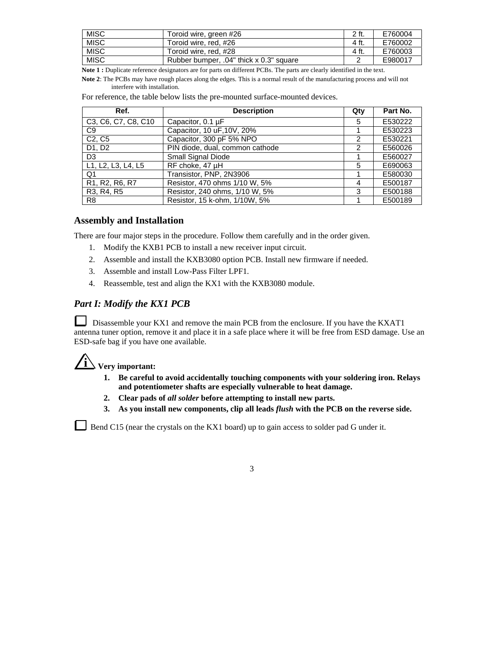| <b>MISC</b> | Toroid wire, green #26                  | 2 ft. | E760004 |
|-------------|-----------------------------------------|-------|---------|
| <b>MISC</b> | Toroid wire, red, #26                   | 4 ft. | E760002 |
| <b>MISC</b> | Toroid wire, red, #28                   | 4 ft. | E760003 |
| <b>MISC</b> | Rubber bumper, .04" thick x 0.3" square |       | E980017 |

**Note 1 :** Duplicate reference designators are for parts on different PCBs. The parts are clearly identified in the text.

**Note 2**: The PCBs may have rough places along the edges. This is a normal result of the manufacturing process and will not interfere with installation.

| Ref.                                                              | <b>Description</b>              | Qty | Part No. |
|-------------------------------------------------------------------|---------------------------------|-----|----------|
| C3, C6, C7, C8, C10                                               | Capacitor, $0.1 \mu F$          | 5   | E530222  |
| C9                                                                | Capacitor, 10 uF, 10V, 20%      |     | E530223  |
| C <sub>2</sub> , C <sub>5</sub>                                   | Capacitor, 300 pF 5% NPO        | 2   | E530221  |
| D1, D2                                                            | PIN diode, dual, common cathode | 2   | E560026  |
| D <sub>3</sub>                                                    | Small Signal Diode              |     | E560027  |
| L1, L2, L3, L4, L5                                                | RF choke, 47 µH                 | 5   | E690063  |
| Q1                                                                | Transistor, PNP, 2N3906         |     | E580030  |
| R <sub>1</sub> , R <sub>2</sub> , R <sub>6</sub> , R <sub>7</sub> | Resistor, 470 ohms 1/10 W, 5%   | 4   | E500187  |
| R3, R4, R5                                                        | Resistor, 240 ohms, 1/10 W, 5%  | 3   | E500188  |
| R <sub>8</sub>                                                    | Resistor, 15 k-ohm, 1/10W, 5%   |     | E500189  |

For reference, the table below lists the pre-mounted surface-mounted devices.

#### **Assembly and Installation**

There are four major steps in the procedure. Follow them carefully and in the order given.

- 1. Modify the KXB1 PCB to install a new receiver input circuit.
- 2. Assemble and install the KXB3080 option PCB. Install new firmware if needed.
- 3. Assemble and install Low-Pass Filter LPF1.
- 4. Reassemble, test and align the KX1 with the KXB3080 module.

#### *Part I: Modify the KX1 PCB*

Disassemble your KX1 and remove the main PCB from the enclosure. If you have the KXAT1 antenna tuner option, remove it and place it in a safe place where it will be free from ESD damage. Use an ESD-safe bag if you have one available.

# $\angle i$  **Very important:**

- **1. Be careful to avoid accidentally touching components with your soldering iron. Relays and potentiometer shafts are especially vulnerable to heat damage.**
- **2. Clear pads of** *all solder* **before attempting to install new parts.**
- **3. As you install new components, clip all leads** *flush* **with the PCB on the reverse side.**

Bend C15 (near the crystals on the KX1 board) up to gain access to solder pad G under it.

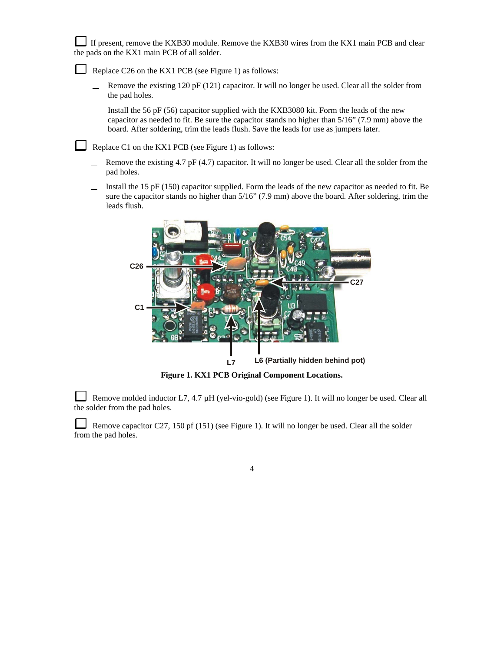If present, remove the KXB30 module. Remove the KXB30 wires from the KX1 main PCB and clear the pads on the KX1 main PCB of all solder.

Replace C26 on the KX1 PCB (see Figure 1) as follows:

- Remove the existing 120 pF (121) capacitor. It will no longer be used. Clear all the solder from the pad holes.
- Install the 56 pF (56) capacitor supplied with the KXB3080 kit. Form the leads of the new capacitor as needed to fit. Be sure the capacitor stands no higher than 5/16" (7.9 mm) above the board. After soldering, trim the leads flush. Save the leads for use as jumpers later.

Replace C1 on the KX1 PCB (see Figure 1) as follows:

- Remove the existing 4.7 pF (4.7) capacitor. It will no longer be used. Clear all the solder from the pad holes.
- Install the 15 pF (150) capacitor supplied. Form the leads of the new capacitor as needed to fit. Be L. sure the capacitor stands no higher than  $5/16$ " (7.9 mm) above the board. After soldering, trim the leads flush.



**Figure 1. KX1 PCB Original Component Locations.**

L Remove molded inductor L7, 4.7 µH (yel-vio-gold) (see Figure 1). It will no longer be used. Clear all the solder from the pad holes.

 Remove capacitor C27, 150 pf (151) (see Figure 1). It will no longer be used. Clear all the solder from the pad holes.

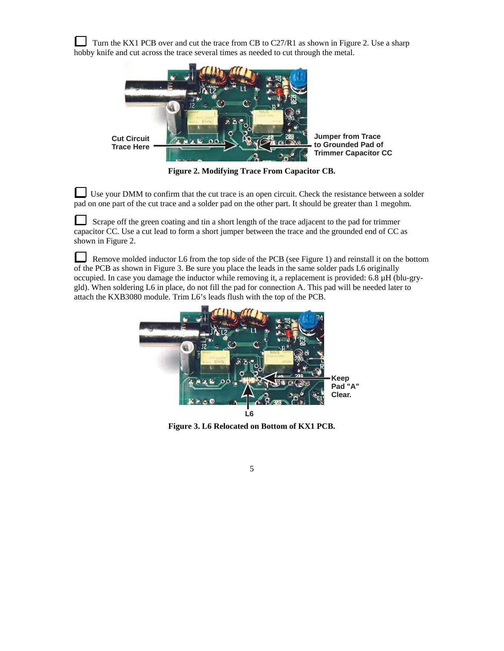Turn the KX1 PCB over and cut the trace from CB to C27/R1 as shown in Figure 2. Use a sharp hobby knife and cut across the trace several times as needed to cut through the metal.



**Figure 2. Modifying Trace From Capacitor CB.** 

Use your DMM to confirm that the cut trace is an open circuit. Check the resistance between a solder pad on one part of the cut trace and a solder pad on the other part. It should be greater than 1 megohm.

 Scrape off the green coating and tin a short length of the trace adjacent to the pad for trimmer capacitor CC. Use a cut lead to form a short jumper between the trace and the grounded end of CC as shown in Figure 2.

 $\Box$  Remove molded inductor L6 from the top side of the PCB (see Figure 1) and reinstall it on the bottom of the PCB as shown in Figure 3. Be sure you place the leads in the same solder pads L6 originally occupied. In case you damage the inductor while removing it, a replacement is provided: 6.8 µH (blu-grygld). When soldering L6 in place, do not fill the pad for connection A. This pad will be needed later to attach the KXB3080 module. Trim L6's leads flush with the top of the PCB.



**Figure 3. L6 Relocated on Bottom of KX1 PCB.**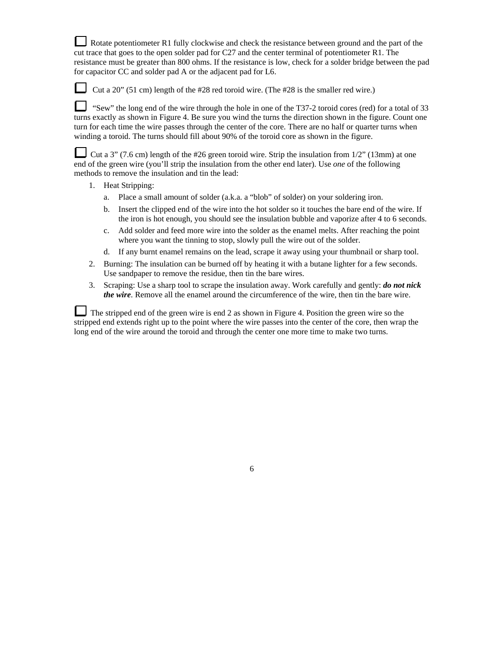Rotate potentiometer R1 fully clockwise and check the resistance between ground and the part of the cut trace that goes to the open solder pad for C27 and the center terminal of potentiometer R1. The resistance must be greater than 800 ohms. If the resistance is low, check for a solder bridge between the pad for capacitor CC and solder pad A or the adjacent pad for L6.

Cut a 20" (51 cm) length of the #28 red toroid wire. (The #28 is the smaller red wire.)

 "Sew" the long end of the wire through the hole in one of the T37-2 toroid cores (red) for a total of 33 turns exactly as shown in Figure 4. Be sure you wind the turns the direction shown in the figure. Count one turn for each time the wire passes through the center of the core. There are no half or quarter turns when winding a toroid. The turns should fill about 90% of the toroid core as shown in the figure.

Cut a 3" (7.6 cm) length of the #26 green toroid wire. Strip the insulation from 1/2" (13mm) at one end of the green wire (you'll strip the insulation from the other end later). Use *one* of the following methods to remove the insulation and tin the lead:

- 1. Heat Stripping:
	- a. Place a small amount of solder (a.k.a. a "blob" of solder) on your soldering iron.
	- b. Insert the clipped end of the wire into the hot solder so it touches the bare end of the wire. If the iron is hot enough, you should see the insulation bubble and vaporize after 4 to 6 seconds.
	- c. Add solder and feed more wire into the solder as the enamel melts. After reaching the point where you want the tinning to stop, slowly pull the wire out of the solder.
	- d. If any burnt enamel remains on the lead, scrape it away using your thumbnail or sharp tool.
- 2. Burning: The insulation can be burned off by heating it with a butane lighter for a few seconds. Use sandpaper to remove the residue, then tin the bare wires.
- 3. Scraping: Use a sharp tool to scrape the insulation away. Work carefully and gently: *do not nick the wire*. Remove all the enamel around the circumference of the wire, then tin the bare wire.

The stripped end of the green wire is end 2 as shown in Figure 4. Position the green wire so the stripped end extends right up to the point where the wire passes into the center of the core, then wrap the long end of the wire around the toroid and through the center one more time to make two turns.

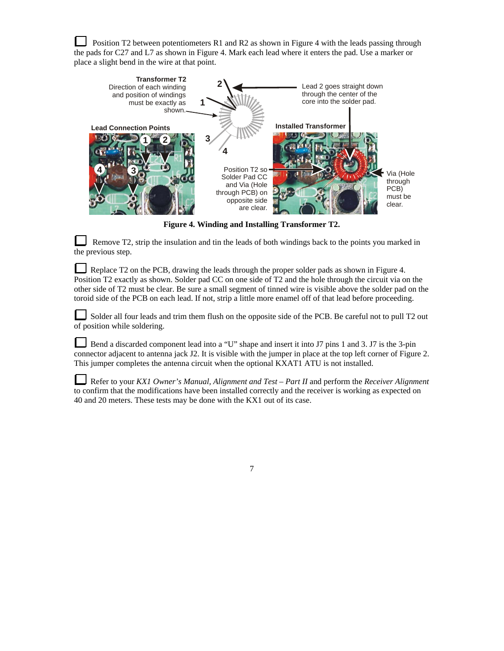Position T2 between potentiometers R1 and R2 as shown in Figure 4 with the leads passing through the pads for C27 and L7 as shown in Figure 4. Mark each lead where it enters the pad. Use a marker or place a slight bend in the wire at that point.



**Figure 4. Winding and Installing Transformer T2.** 

 Remove T2, strip the insulation and tin the leads of both windings back to the points you marked in the previous step.

Replace T2 on the PCB, drawing the leads through the proper solder pads as shown in Figure 4. Position T2 exactly as shown. Solder pad CC on one side of T2 and the hole through the circuit via on the other side of T2 must be clear. Be sure a small segment of tinned wire is visible above the solder pad on the toroid side of the PCB on each lead. If not, strip a little more enamel off of that lead before proceeding.

Solder all four leads and trim them flush on the opposite side of the PCB. Be careful not to pull T2 out of position while soldering.

Bend a discarded component lead into a "U" shape and insert it into J7 pins 1 and 3. J7 is the 3-pin connector adjacent to antenna jack J2. It is visible with the jumper in place at the top left corner of Figure 2. This jumper completes the antenna circuit when the optional KXAT1 ATU is not installed.

Refer to your *KX1 Owner's Manual, Alignment and Test – Part II* and perform the *Receiver Alignment* to confirm that the modifications have been installed correctly and the receiver is working as expected on 40 and 20 meters. These tests may be done with the KX1 out of its case.

7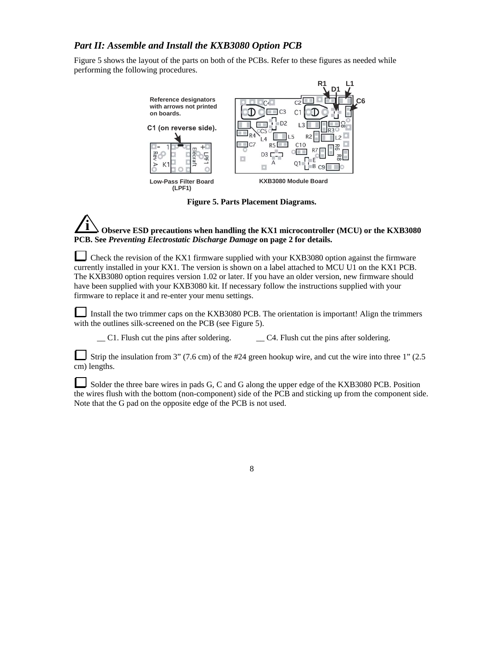## *Part II: Assemble and Install the KXB3080 Option PCB*

Figure 5 shows the layout of the parts on both of the PCBs. Refer to these figures as needed while performing the following procedures.



**Figure 5. Parts Placement Diagrams.** 

## **i Observe ESD precautions when handling the KX1 microcontroller (MCU) or the KXB3080 PCB. See** *Preventing Electrostatic Discharge Damage* **on page 2 for details.**

Check the revision of the KX1 firmware supplied with your KXB3080 option against the firmware currently installed in your KX1. The version is shown on a label attached to MCU U1 on the KX1 PCB. The KXB3080 option requires version 1.02 or later. If you have an older version, new firmware should have been supplied with your KXB3080 kit. If necessary follow the instructions supplied with your firmware to replace it and re-enter your menu settings.

Install the two trimmer caps on the KXB3080 PCB. The orientation is important! Align the trimmers with the outlines silk-screened on the PCB (see Figure 5).

 $\Box$  C1. Flush cut the pins after soldering.  $\Box$  C4. Flush cut the pins after soldering.

Strip the insulation from 3" (7.6 cm) of the #24 green hookup wire, and cut the wire into three 1" (2.5 cm) lengths.

Solder the three bare wires in pads G, C and G along the upper edge of the KXB3080 PCB. Position the wires flush with the bottom (non-component) side of the PCB and sticking up from the component side. Note that the G pad on the opposite edge of the PCB is not used.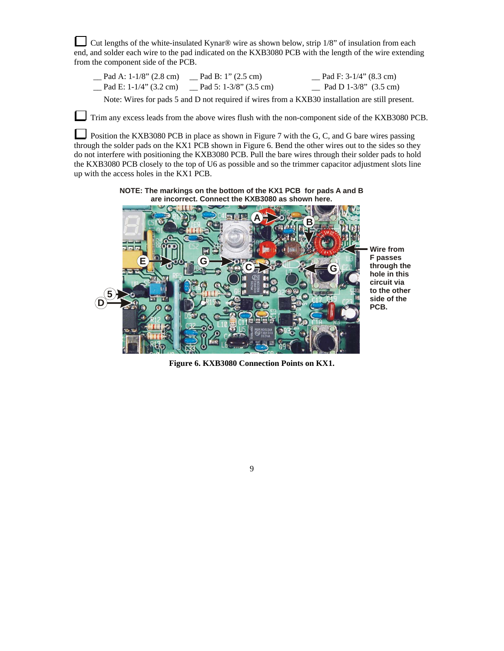Cut lengths of the white-insulated Kynar® wire as shown below, strip 1/8" of insulation from each end, and solder each wire to the pad indicated on the KXB3080 PCB with the length of the wire extending from the component side of the PCB.

| Pad A: 1-1/8" (2.8 cm)    | $\mu$ Pad B: 1" (2.5 cm)  | Pad F: $3-1/4$ " (8.3 cm)       |
|---------------------------|---------------------------|---------------------------------|
| Pad E: $1-1/4$ " (3.2 cm) | Pad 5: $1-3/8$ " (3.5 cm) | Pad D 1-3/8" $(3.5 \text{ cm})$ |

Note: Wires for pads 5 and D not required if wires from a KXB30 installation are still present.

Trim any excess leads from the above wires flush with the non-component side of the KXB3080 PCB.

Position the KXB3080 PCB in place as shown in Figure 7 with the G, C, and G bare wires passing through the solder pads on the KX1 PCB shown in Figure 6. Bend the other wires out to the sides so they do not interfere with positioning the KXB3080 PCB. Pull the bare wires through their solder pads to hold the KXB3080 PCB closely to the top of U6 as possible and so the trimmer capacitor adjustment slots line up with the access holes in the KX1 PCB.

> **NOTE: The markings on the bottom of the KX1 PCB for pads A and B are incorrect. Connect the KXB3080 as shown here.**



**Figure 6. KXB3080 Connection Points on KX1.**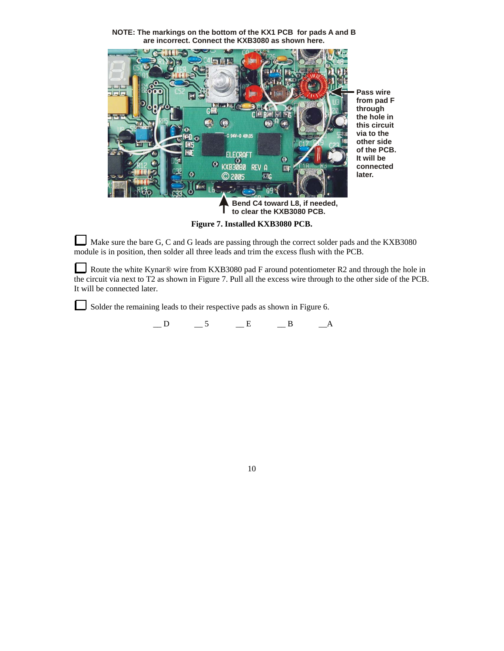**NOTE: The markings on the bottom of the KX1 PCB for pads A and B are incorrect. Connect the KXB3080 as shown here.** 



**Figure 7. Installed KXB3080 PCB.** 

Make sure the bare G, C and G leads are passing through the correct solder pads and the KXB3080 module is in position, then solder all three leads and trim the excess flush with the PCB.

Route the white Kynar® wire from KXB3080 pad F around potentiometer R2 and through the hole in the circuit via next to T2 as shown in Figure 7. Pull all the excess wire through to the other side of the PCB. It will be connected later.

Solder the remaining leads to their respective pads as shown in Figure 6.

 $\_D$   $\_5$   $\_E$   $\_B$   $\_A$ 

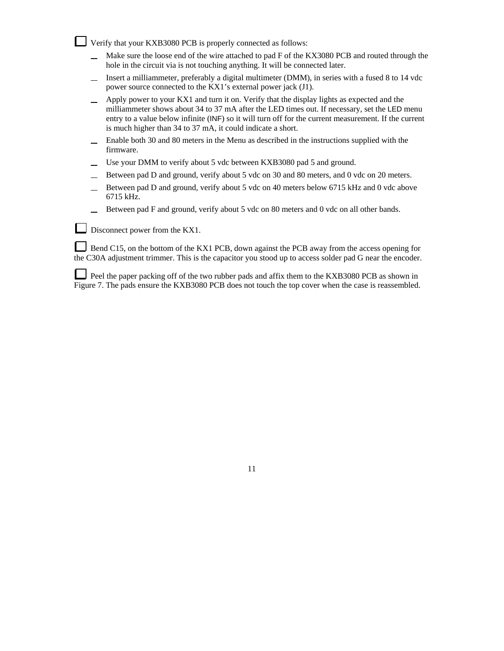Verify that your KXB3080 PCB is properly connected as follows:

- Make sure the loose end of the wire attached to pad F of the KX3080 PCB and routed through the  $\equiv$ hole in the circuit via is not touching anything. It will be connected later.
- Insert a milliammeter, preferably a digital multimeter (DMM), in series with a fused 8 to 14 vdc  $\equiv$ power source connected to the KX1's external power jack (J1).
- Apply power to your KX1 and turn it on. Verify that the display lights as expected and the  $\equiv$ milliammeter shows about 34 to 37 mA after the LED times out. If necessary, set the LED menu entry to a value below infinite (INF) so it will turn off for the current measurement. If the current is much higher than 34 to 37 mA, it could indicate a short.
- Enable both 30 and 80 meters in the Menu as described in the instructions supplied with the  $\equiv$ firmware.
- Use your DMM to verify about 5 vdc between KXB3080 pad 5 and ground.
- Between pad D and ground, verify about 5 vdc on 30 and 80 meters, and 0 vdc on 20 meters.
- Between pad D and ground, verify about 5 vdc on 40 meters below 6715 kHz and 0 vdc above 6715 kHz.
- Between pad F and ground, verify about 5 vdc on 80 meters and 0 vdc on all other bands.

Disconnect power from the KX1.

Bend C15, on the bottom of the KX1 PCB, down against the PCB away from the access opening for the C30A adjustment trimmer. This is the capacitor you stood up to access solder pad G near the encoder.

Peel the paper packing off of the two rubber pads and affix them to the KXB3080 PCB as shown in Figure 7. The pads ensure the KXB3080 PCB does not touch the top cover when the case is reassembled.

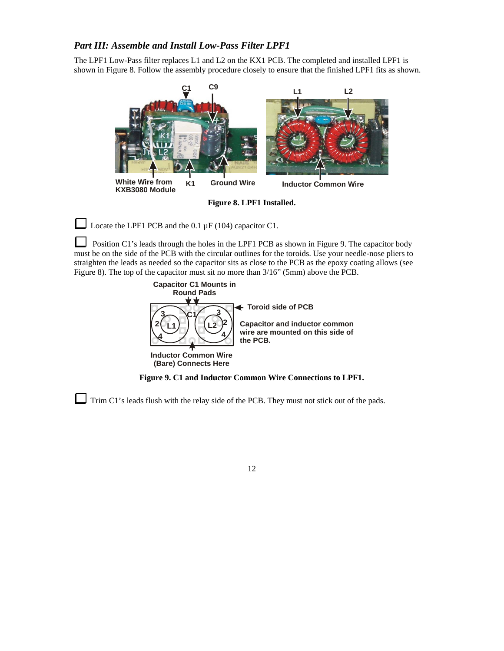#### *Part III: Assemble and Install Low-Pass Filter LPF1*

The LPF1 Low-Pass filter replaces L1 and L2 on the KX1 PCB. The completed and installed LPF1 is shown in Figure 8. Follow the assembly procedure closely to ensure that the finished LPF1 fits as shown.



**Figure 8. LPF1 Installed.** 

Locate the LPF1 PCB and the 0.1  $\mu$ F (104) capacitor C1.

 Position C1's leads through the holes in the LPF1 PCB as shown in Figure 9. The capacitor body must be on the side of the PCB with the circular outlines for the toroids. Use your needle-nose pliers to straighten the leads as needed so the capacitor sits as close to the PCB as the epoxy coating allows (see Figure 8). The top of the capacitor must sit no more than 3/16" (5mm) above the PCB.



**Figure 9. C1 and Inductor Common Wire Connections to LPF1.** 

Trim C1's leads flush with the relay side of the PCB. They must not stick out of the pads.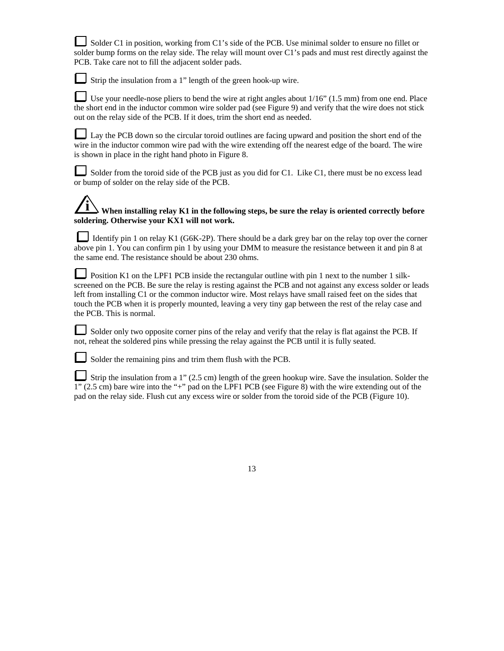Solder C1 in position, working from C1's side of the PCB. Use minimal solder to ensure no fillet or solder bump forms on the relay side. The relay will mount over C1's pads and must rest directly against the PCB. Take care not to fill the adjacent solder pads.

Strip the insulation from a 1" length of the green hook-up wire.

Use your needle-nose pliers to bend the wire at right angles about 1/16" (1.5 mm) from one end. Place the short end in the inductor common wire solder pad (see Figure 9) and verify that the wire does not stick out on the relay side of the PCB. If it does, trim the short end as needed.

Lay the PCB down so the circular toroid outlines are facing upward and position the short end of the wire in the inductor common wire pad with the wire extending off the nearest edge of the board. The wire is shown in place in the right hand photo in Figure 8.

Solder from the toroid side of the PCB just as you did for C1. Like C1, there must be no excess lead or bump of solder on the relay side of the PCB.

# **i When installing relay K1 in the following steps, be sure the relay is oriented correctly before soldering. Otherwise your KX1 will not work.**

Identify pin 1 on relay K1 (G6K-2P). There should be a dark grey bar on the relay top over the corner above pin 1. You can confirm pin 1 by using your DMM to measure the resistance between it and pin 8 at the same end. The resistance should be about 230 ohms.

Position K1 on the LPF1 PCB inside the rectangular outline with pin 1 next to the number 1 silkscreened on the PCB. Be sure the relay is resting against the PCB and not against any excess solder or leads left from installing C1 or the common inductor wire. Most relays have small raised feet on the sides that touch the PCB when it is properly mounted, leaving a very tiny gap between the rest of the relay case and the PCB. This is normal.

Solder only two opposite corner pins of the relay and verify that the relay is flat against the PCB. If not, reheat the soldered pins while pressing the relay against the PCB until it is fully seated.

Solder the remaining pins and trim them flush with the PCB.

Strip the insulation from a 1" (2.5 cm) length of the green hookup wire. Save the insulation. Solder the 1" (2.5 cm) bare wire into the "+" pad on the LPF1 PCB (see Figure 8) with the wire extending out of the pad on the relay side. Flush cut any excess wire or solder from the toroid side of the PCB (Figure 10).

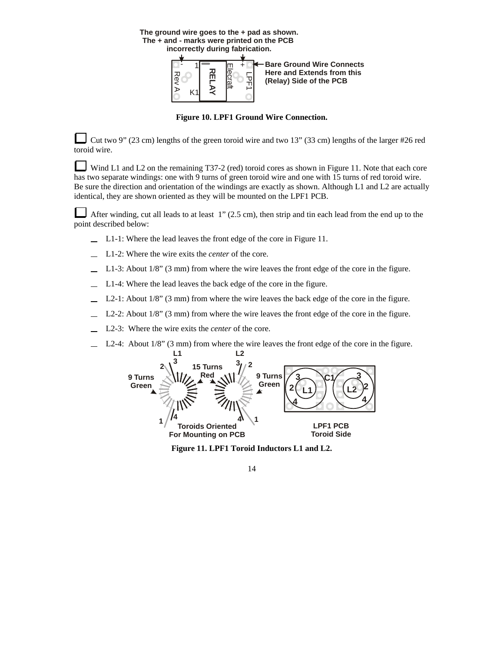**The ground wire goes to the + pad as shown. The + and - marks were printed on the PCB incorrectly during fabrication.**



**Figure 10. LPF1 Ground Wire Connection.**

Cut two 9" (23 cm) lengths of the green toroid wire and two 13" (33 cm) lengths of the larger #26 red toroid wire.

Wind L1 and L2 on the remaining T37-2 (red) toroid cores as shown in Figure 11. Note that each core has two separate windings: one with 9 turns of green toroid wire and one with 15 turns of red toroid wire. Be sure the direction and orientation of the windings are exactly as shown. Although L1 and L2 are actually identical, they are shown oriented as they will be mounted on the LPF1 PCB.

After winding, cut all leads to at least 1" (2.5 cm), then strip and tin each lead from the end up to the point described below:

- L1-1: Where the lead leaves the front edge of the core in Figure 11.
- L1-2: Where the wire exits the *center* of the core.
- L1-3: About 1/8" (3 mm) from where the wire leaves the front edge of the core in the figure.
- L1-4: Where the lead leaves the back edge of the core in the figure.
- L2-1: About  $1/8$ " (3 mm) from where the wire leaves the back edge of the core in the figure.
- L2-2: About  $1/8$ " (3 mm) from where the wire leaves the front edge of the core in the figure.
- L2-3: Where the wire exits the *center* of the core.
- L2-4: About 1/8" (3 mm) from where the wire leaves the front edge of the core in the figure.



**Figure 11. LPF1 Toroid Inductors L1 and L2.**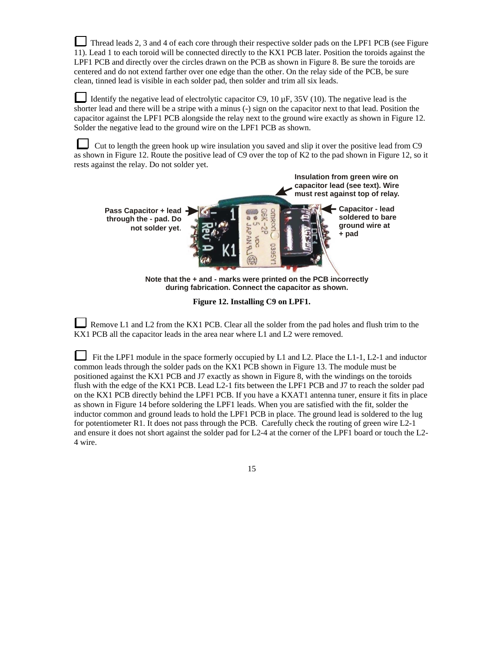Thread leads 2, 3 and 4 of each core through their respective solder pads on the LPF1 PCB (see Figure 11). Lead 1 to each toroid will be connected directly to the KX1 PCB later. Position the toroids against the LPF1 PCB and directly over the circles drawn on the PCB as shown in Figure 8. Be sure the toroids are centered and do not extend farther over one edge than the other. On the relay side of the PCB, be sure clean, tinned lead is visible in each solder pad, then solder and trim all six leads.

Identify the negative lead of electrolytic capacitor C9, 10  $\mu$ F, 35V (10). The negative lead is the shorter lead and there will be a stripe with a minus (-) sign on the capacitor next to that lead. Position the capacitor against the LPF1 PCB alongside the relay next to the ground wire exactly as shown in Figure 12. Solder the negative lead to the ground wire on the LPF1 PCB as shown.

 Cut to length the green hook up wire insulation you saved and slip it over the positive lead from C9 as shown in Figure 12. Route the positive lead of C9 over the top of K2 to the pad shown in Figure 12, so it rests against the relay. Do not solder yet.



**Figure 12. Installing C9 on LPF1.** 

Remove L1 and L2 from the KX1 PCB. Clear all the solder from the pad holes and flush trim to the KX1 PCB all the capacitor leads in the area near where L1 and L2 were removed.

Fit the LPF1 module in the space formerly occupied by L1 and L2. Place the L1-1, L2-1 and inductor common leads through the solder pads on the KX1 PCB shown in Figure 13. The module must be positioned against the KX1 PCB and J7 exactly as shown in Figure 8, with the windings on the toroids flush with the edge of the KX1 PCB. Lead L2-1 fits between the LPF1 PCB and J7 to reach the solder pad on the KX1 PCB directly behind the LPF1 PCB. If you have a KXAT1 antenna tuner, ensure it fits in place as shown in Figure 14 before soldering the LPF1 leads. When you are satisfied with the fit, solder the inductor common and ground leads to hold the LPF1 PCB in place. The ground lead is soldered to the lug for potentiometer R1. It does not pass through the PCB. Carefully check the routing of green wire L2-1 and ensure it does not short against the solder pad for L2-4 at the corner of the LPF1 board or touch the L2- 4 wire.

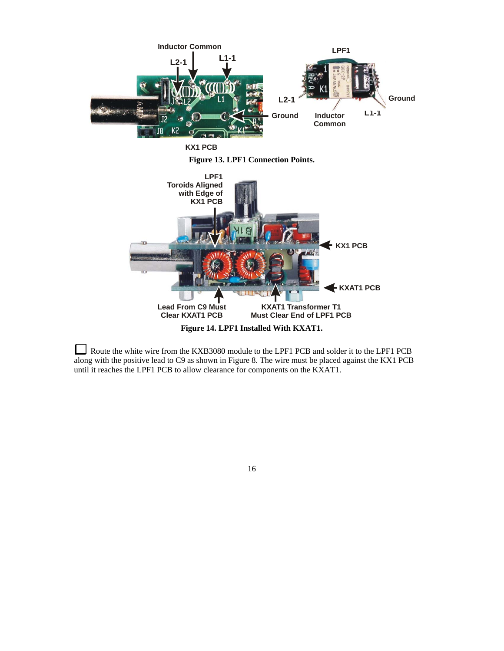

Route the white wire from the KXB3080 module to the LPF1 PCB and solder it to the LPF1 PCB along with the positive lead to C9 as shown in Figure 8. The wire must be placed against the KX1 PCB until it reaches the LPF1 PCB to allow clearance for components on the KXAT1.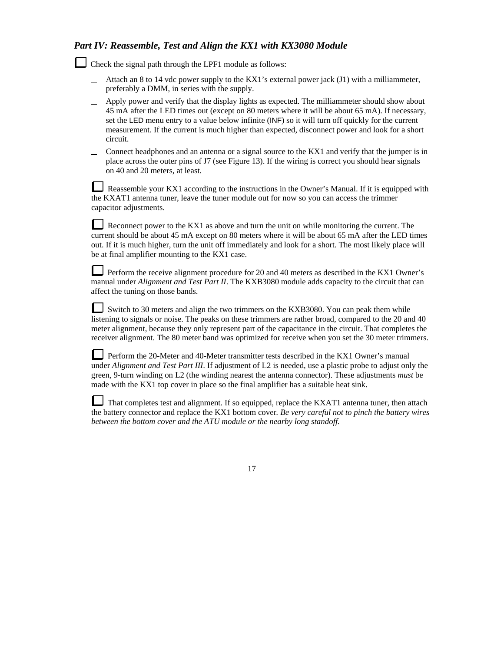## *Part IV: Reassemble, Test and Align the KX1 with KX3080 Module*

Check the signal path through the LPF1 module as follows:

- Attach an 8 to 14 vdc power supply to the KX1's external power jack (J1) with a milliammeter, preferably a DMM, in series with the supply.
- Apply power and verify that the display lights as expected. The milliammeter should show about 45 mA after the LED times out (except on 80 meters where it will be about 65 mA). If necessary, set the LED menu entry to a value below infinite (INF) so it will turn off quickly for the current measurement. If the current is much higher than expected, disconnect power and look for a short circuit.
- Connect headphones and an antenna or a signal source to the KX1 and verify that the jumper is in  $\equiv$ place across the outer pins of J7 (see Figure 13). If the wiring is correct you should hear signals on 40 and 20 meters, at least.

Reassemble your KX1 according to the instructions in the Owner's Manual. If it is equipped with the KXAT1 antenna tuner, leave the tuner module out for now so you can access the trimmer capacitor adjustments.

Reconnect power to the KX1 as above and turn the unit on while monitoring the current. The current should be about 45 mA except on 80 meters where it will be about 65 mA after the LED times out. If it is much higher, turn the unit off immediately and look for a short. The most likely place will be at final amplifier mounting to the KX1 case.

Perform the receive alignment procedure for 20 and 40 meters as described in the KX1 Owner's manual under *Alignment and Test Part II*. The KXB3080 module adds capacity to the circuit that can affect the tuning on those bands.

Switch to 30 meters and align the two trimmers on the KXB3080. You can peak them while listening to signals or noise. The peaks on these trimmers are rather broad, compared to the 20 and 40 meter alignment, because they only represent part of the capacitance in the circuit. That completes the receiver alignment. The 80 meter band was optimized for receive when you set the 30 meter trimmers.

Perform the 20-Meter and 40-Meter transmitter tests described in the KX1 Owner's manual under *Alignment and Test Part III*. If adjustment of L2 is needed, use a plastic probe to adjust only the green, 9-turn winding on L2 (the winding nearest the antenna connector). These adjustments *must* be made with the KX1 top cover in place so the final amplifier has a suitable heat sink.

That completes test and alignment. If so equipped, replace the KXAT1 antenna tuner, then attach the battery connector and replace the KX1 bottom cover*. Be very careful not to pinch the battery wires between the bottom cover and the ATU module or the nearby long standoff.*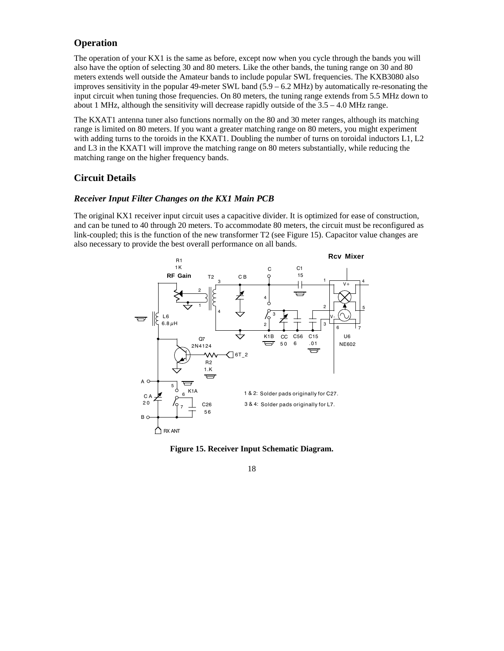#### **Operation**

The operation of your KX1 is the same as before, except now when you cycle through the bands you will also have the option of selecting 30 and 80 meters. Like the other bands, the tuning range on 30 and 80 meters extends well outside the Amateur bands to include popular SWL frequencies. The KXB3080 also improves sensitivity in the popular 49-meter SWL band  $(5.9 - 6.2 \text{ MHz})$  by automatically re-resonating the input circuit when tuning those frequencies. On 80 meters, the tuning range extends from 5.5 MHz down to about 1 MHz, although the sensitivity will decrease rapidly outside of the  $3.5 - 4.0$  MHz range.

The KXAT1 antenna tuner also functions normally on the 80 and 30 meter ranges, although its matching range is limited on 80 meters. If you want a greater matching range on 80 meters, you might experiment with adding turns to the toroids in the KXAT1. Doubling the number of turns on toroidal inductors L1, L2 and L3 in the KXAT1 will improve the matching range on 80 meters substantially, while reducing the matching range on the higher frequency bands.

#### **Circuit Details**

#### *Receiver Input Filter Changes on the KX1 Main PCB*

The original KX1 receiver input circuit uses a capacitive divider. It is optimized for ease of construction, and can be tuned to 40 through 20 meters. To accommodate 80 meters, the circuit must be reconfigured as link-coupled; this is the function of the new transformer T2 (see Figure 15). Capacitor value changes are also necessary to provide the best overall performance on all bands.



**Figure 15. Receiver Input Schematic Diagram.**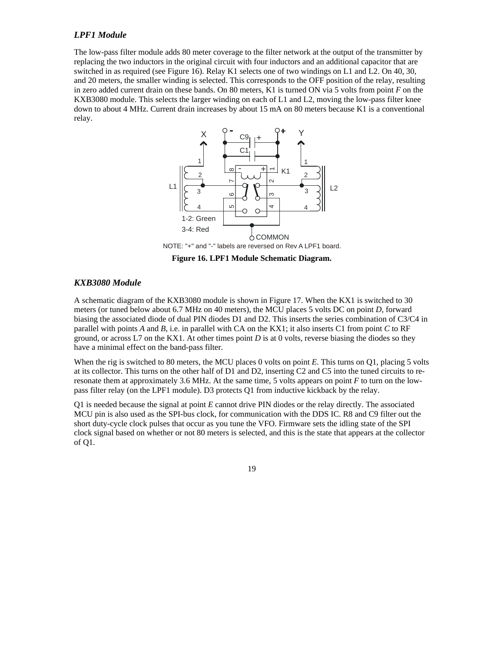#### *LPF1 Module*

The low-pass filter module adds 80 meter coverage to the filter network at the output of the transmitter by replacing the two inductors in the original circuit with four inductors and an additional capacitor that are switched in as required (see Figure 16). Relay K1 selects one of two windings on L1 and L2. On 40, 30, and 20 meters, the smaller winding is selected. This corresponds to the OFF position of the relay, resulting in zero added current drain on these bands. On 80 meters, K1 is turned ON via 5 volts from point *F* on the KXB3080 module. This selects the larger winding on each of L1 and L2, moving the low-pass filter knee down to about 4 MHz. Current drain increases by about 15 mA on 80 meters because K1 is a conventional relay.



**Figure 16. LPF1 Module Schematic Diagram.** 

#### *KXB3080 Module*

A schematic diagram of the KXB3080 module is shown in Figure 17. When the KX1 is switched to 30 meters (or tuned below about 6.7 MHz on 40 meters), the MCU places 5 volts DC on point *D*, forward biasing the associated diode of dual PIN diodes D1 and D2. This inserts the series combination of C3/C4 in parallel with points *A* and *B*, i.e. in parallel with CA on the KX1; it also inserts C1 from point *C* to RF ground, or across L7 on the KX1. At other times point *D* is at 0 volts, reverse biasing the diodes so they have a minimal effect on the band-pass filter.

When the rig is switched to 80 meters, the MCU places 0 volts on point *E*. This turns on Q1, placing 5 volts at its collector. This turns on the other half of D1 and D2, inserting C2 and C5 into the tuned circuits to reresonate them at approximately 3.6 MHz. At the same time, 5 volts appears on point *F* to turn on the lowpass filter relay (on the LPF1 module). D3 protects Q1 from inductive kickback by the relay.

Q1 is needed because the signal at point *E* cannot drive PIN diodes or the relay directly. The associated MCU pin is also used as the SPI-bus clock, for communication with the DDS IC. R8 and C9 filter out the short duty-cycle clock pulses that occur as you tune the VFO. Firmware sets the idling state of the SPI clock signal based on whether or not 80 meters is selected, and this is the state that appears at the collector of Q1.